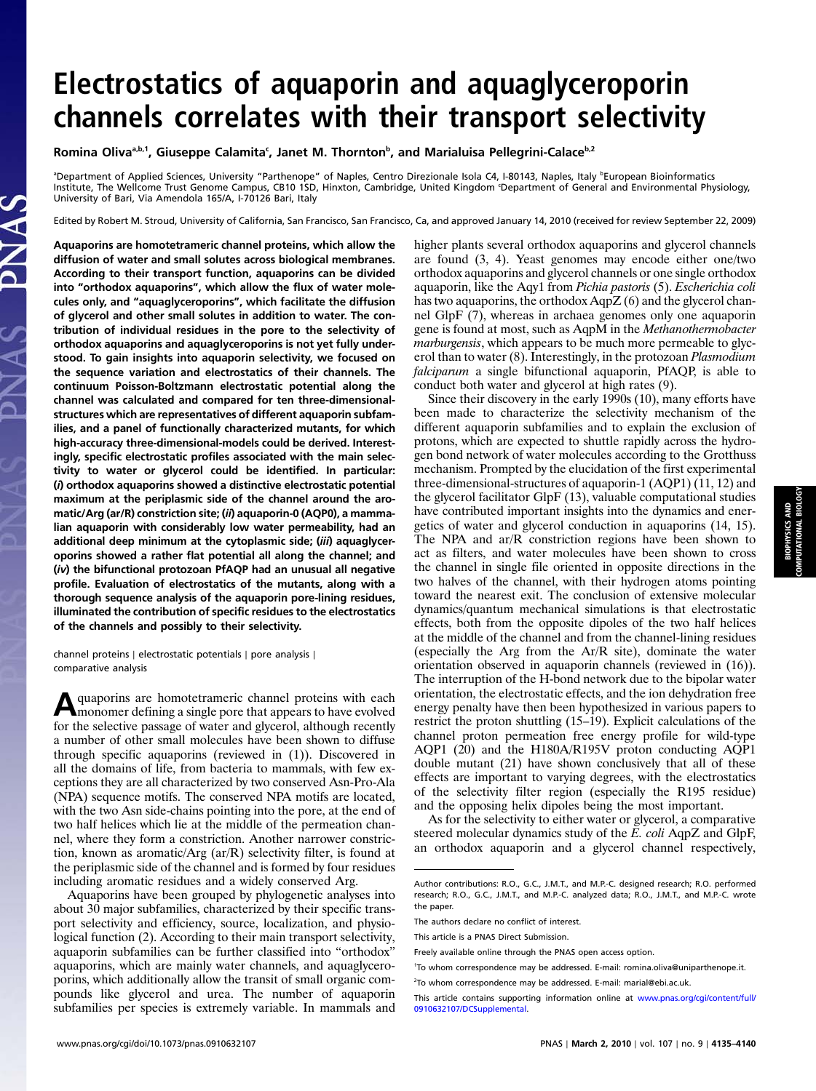# Electrostatics of aquaporin and aquaglyceroporin channels correlates with their transport selectivity

Romina Oliva<sup>a,b,1</sup>, Giuseppe Calamitaʿ, Janet M. Thorntonʰ, and Marialuisa Pellegrini-Calace<sup>b.2</sup>

<sup>a</sup>Department of Applied Sciences, University "Parthenope" of Naples, Centro Direzionale Isola C4, I-80143, Naples, Italy <sup>b</sup>European Bioinformatics Institute, The Wellcome Trust Genome Campus, CB10 1SD, Hinxton, Cambridge, United Kingdom <sup>c</sup> Department of General and Environmental Physiology, University of Bari, Via Amendola 165/A, I-70126 Bari, Italy

Edited by Robert M. Stroud, University of California, San Francisco, San Francisco, Ca, and approved January 14, 2010 (received for review September 22, 2009)

Aquaporins are homotetrameric channel proteins, which allow the diffusion of water and small solutes across biological membranes. According to their transport function, aquaporins can be divided into "orthodox aquaporins", which allow the flux of water molecules only, and "aquaglyceroporins", which facilitate the diffusion of glycerol and other small solutes in addition to water. The contribution of individual residues in the pore to the selectivity of orthodox aquaporins and aquaglyceroporins is not yet fully understood. To gain insights into aquaporin selectivity, we focused on the sequence variation and electrostatics of their channels. The continuum Poisson-Boltzmann electrostatic potential along the channel was calculated and compared for ten three-dimensionalstructures which are representatives of different aquaporin subfamilies, and a panel of functionally characterized mutants, for which high-accuracy three-dimensional-models could be derived. Interestingly, specific electrostatic profiles associated with the main selectivity to water or glycerol could be identified. In particular: (i) orthodox aquaporins showed a distinctive electrostatic potential maximum at the periplasmic side of the channel around the aromatic/Arg (ar/R) constriction site; (ii) aquaporin-0 (AQP0), a mammalian aquaporin with considerably low water permeability, had an additional deep minimum at the cytoplasmic side; (iii) aquaglyceroporins showed a rather flat potential all along the channel; and (iv) the bifunctional protozoan PfAQP had an unusual all negative profile. Evaluation of electrostatics of the mutants, along with a thorough sequence analysis of the aquaporin pore-lining residues, illuminated the contribution of specific residues to the electrostatics of the channels and possibly to their selectivity.

channel proteins ∣ electrostatic potentials ∣ pore analysis ∣ comparative analysis

Aquaporins are homotetrameric channel proteins with each monomer defining a single pore that appears to have evolved for the selective passage of water and glycerol, although recently a number of other small molecules have been shown to diffuse through specific aquaporins (reviewed in (1)). Discovered in all the domains of life, from bacteria to mammals, with few exceptions they are all characterized by two conserved Asn-Pro-Ala (NPA) sequence motifs. The conserved NPA motifs are located, with the two Asn side-chains pointing into the pore, at the end of two half helices which lie at the middle of the permeation channel, where they form a constriction. Another narrower constriction, known as aromatic/Arg (ar/R) selectivity filter, is found at the periplasmic side of the channel and is formed by four residues including aromatic residues and a widely conserved Arg.

Aquaporins have been grouped by phylogenetic analyses into about 30 major subfamilies, characterized by their specific transport selectivity and efficiency, source, localization, and physiological function (2). According to their main transport selectivity, aquaporin subfamilies can be further classified into "orthodox" aquaporins, which are mainly water channels, and aquaglyceroporins, which additionally allow the transit of small organic compounds like glycerol and urea. The number of aquaporin subfamilies per species is extremely variable. In mammals and

higher plants several orthodox aquaporins and glycerol channels are found (3, 4). Yeast genomes may encode either one/two orthodox aquaporins and glycerol channels or one single orthodox aquaporin, like the Aqy1 from Pichia pastoris (5). Escherichia coli has two aquaporins, the orthodox AqpZ (6) and the glycerol channel GlpF (7), whereas in archaea genomes only one aquaporin gene is found at most, such as AqpM in the Methanothermobacter marburgensis, which appears to be much more permeable to glycerol than to water (8). Interestingly, in the protozoan Plasmodium falciparum a single bifunctional aquaporin, PfAQP, is able to conduct both water and glycerol at high rates (9).

Since their discovery in the early 1990s (10), many efforts have been made to characterize the selectivity mechanism of the different aquaporin subfamilies and to explain the exclusion of protons, which are expected to shuttle rapidly across the hydrogen bond network of water molecules according to the Grotthuss mechanism. Prompted by the elucidation of the first experimental three-dimensional-structures of aquaporin-1 (AQP1) (11, 12) and the glycerol facilitator GlpF (13), valuable computational studies have contributed important insights into the dynamics and energetics of water and glycerol conduction in aquaporins (14, 15). The NPA and ar/R constriction regions have been shown to act as filters, and water molecules have been shown to cross the channel in single file oriented in opposite directions in the two halves of the channel, with their hydrogen atoms pointing toward the nearest exit. The conclusion of extensive molecular dynamics/quantum mechanical simulations is that electrostatic effects, both from the opposite dipoles of the two half helices at the middle of the channel and from the channel-lining residues (especially the Arg from the Ar/R site), dominate the water orientation observed in aquaporin channels (reviewed in (16)). The interruption of the H-bond network due to the bipolar water orientation, the electrostatic effects, and the ion dehydration free energy penalty have then been hypothesized in various papers to restrict the proton shuttling (15–19). Explicit calculations of the channel proton permeation free energy profile for wild-type AQP1 (20) and the H180A/R195V proton conducting AQP1 double mutant (21) have shown conclusively that all of these effects are important to varying degrees, with the electrostatics of the selectivity filter region (especially the R195 residue) and the opposing helix dipoles being the most important.

As for the selectivity to either water or glycerol, a comparative steered molecular dynamics study of the E. coli AqpZ and GlpF, an orthodox aquaporin and a glycerol channel respectively,

Author contributions: R.O., G.C., J.M.T., and M.P.-C. designed research; R.O. performed research; R.O., G.C., J.M.T., and M.P.-C. analyzed data; R.O., J.M.T., and M.P.-C. wrote the paper.

The authors declare no conflict of interest.

This article is a PNAS Direct Submission.

Freely available online through the PNAS open access option.

<sup>1</sup> To whom correspondence may be addressed. E-mail: romina.oliva@uniparthenope.it.

<sup>2</sup> To whom correspondence may be addressed. E-mail: marial@ebi.ac.uk.

This article contains supporting information online at [www.pnas.org/cgi/content/full/](http://www.pnas.org/cgi/content/full/0910632107/DCSupplemental) [0910632107/DCSupplemental.](http://www.pnas.org/cgi/content/full/0910632107/DCSupplemental)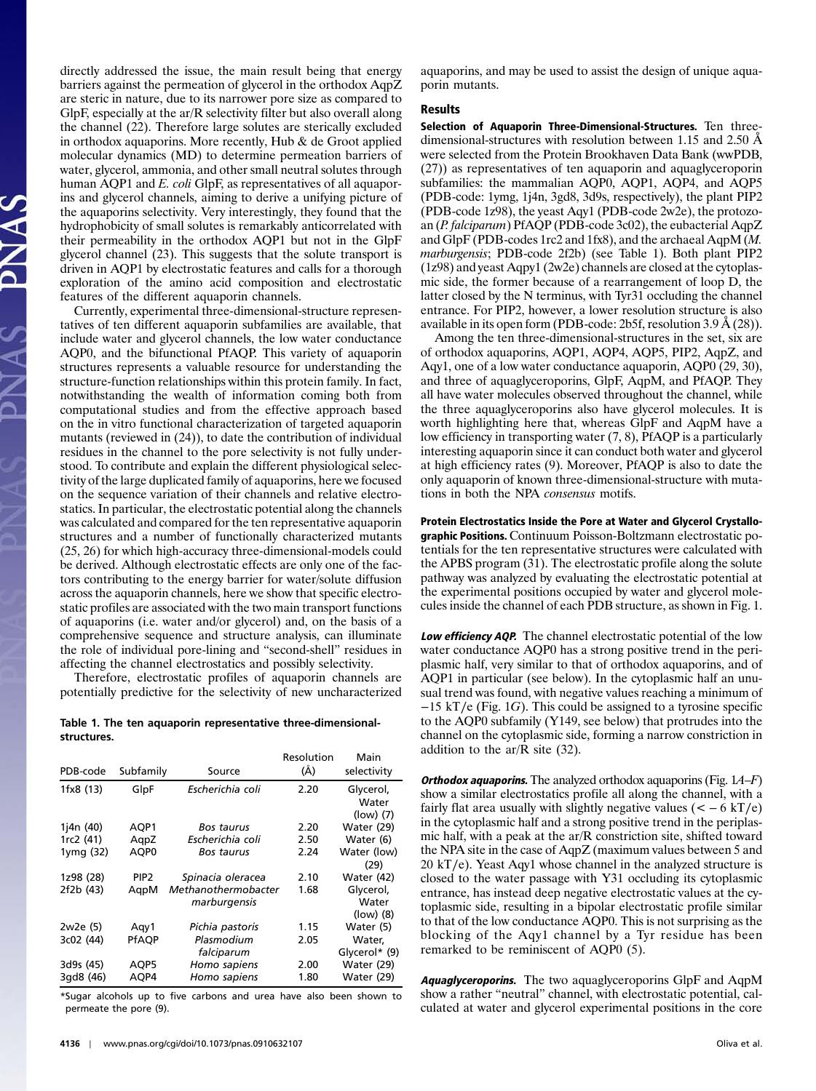directly addressed the issue, the main result being that energy barriers against the permeation of glycerol in the orthodox AqpZ are steric in nature, due to its narrower pore size as compared to GlpF, especially at the ar/R selectivity filter but also overall along the channel (22). Therefore large solutes are sterically excluded in orthodox aquaporins. More recently, Hub & de Groot applied molecular dynamics (MD) to determine permeation barriers of water, glycerol, ammonia, and other small neutral solutes through human AQP1 and *E. coli* GlpF, as representatives of all aquaporins and glycerol channels, aiming to derive a unifying picture of the aquaporins selectivity. Very interestingly, they found that the hydrophobicity of small solutes is remarkably anticorrelated with their permeability in the orthodox AQP1 but not in the GlpF glycerol channel (23). This suggests that the solute transport is driven in AQP1 by electrostatic features and calls for a thorough exploration of the amino acid composition and electrostatic features of the different aquaporin channels.

Currently, experimental three-dimensional-structure representatives of ten different aquaporin subfamilies are available, that include water and glycerol channels, the low water conductance AQP0, and the bifunctional PfAQP. This variety of aquaporin structures represents a valuable resource for understanding the structure-function relationships within this protein family. In fact, notwithstanding the wealth of information coming both from computational studies and from the effective approach based on the in vitro functional characterization of targeted aquaporin mutants (reviewed in (24)), to date the contribution of individual residues in the channel to the pore selectivity is not fully understood. To contribute and explain the different physiological selectivity of the large duplicated family of aquaporins, here we focused on the sequence variation of their channels and relative electrostatics. In particular, the electrostatic potential along the channels was calculated and compared for the ten representative aquaporin structures and a number of functionally characterized mutants (25, 26) for which high-accuracy three-dimensional-models could be derived. Although electrostatic effects are only one of the factors contributing to the energy barrier for water/solute diffusion across the aquaporin channels, here we show that specific electrostatic profiles are associated with the two main transport functions of aquaporins (i.e. water and/or glycerol) and, on the basis of a comprehensive sequence and structure analysis, can illuminate the role of individual pore-lining and "second-shell" residues in affecting the channel electrostatics and possibly selectivity.

Therefore, electrostatic profiles of aquaporin channels are potentially predictive for the selectivity of new uncharacterized

## Table 1. The ten aquaporin representative three-dimensionalstructures.

|             |                  |                                     | Resolution | Main                                |
|-------------|------------------|-------------------------------------|------------|-------------------------------------|
| PDB-code    | Subfamily        | Source                              | (Å)        | selectivity                         |
| 1fx8 (13)   | GlpF             | Escherichia coli                    | 2.20       | Glycerol,<br>Water<br>$(low)$ $(7)$ |
| 1j4n (40)   | AQP1             | Bos taurus                          | 2.20       | Water (29)                          |
| 1 $rc2(41)$ | AqpZ             | Escherichia coli                    | 2.50       | Water (6)                           |
| 1ymq(32)    | AQP0             | Bos taurus                          | 2.24       | Water (low)<br>(29)                 |
| 1z98 (28)   | PIP <sub>2</sub> | Spinacia oleracea                   | 2.10       | Water (42)                          |
| 2f2b (43)   | AqpM             | Methanothermobacter<br>marburgensis | 1.68       | Glycerol,<br>Water<br>$(low)$ $(8)$ |
| 2w2e (5)    | Agy1             | Pichia pastoris                     | 1.15       | Water (5)                           |
| 3c02 (44)   | <b>PfAOP</b>     | Plasmodium<br>falciparum            | 2.05       | Water.<br>Glycerol* (9)             |
| 3d9s (45)   | AQP5             | Homo sapiens                        | 2.00       | Water (29)                          |
| 3gd8 (46)   | AQP4             | Homo sapiens                        | 1.80       | Water (29)                          |

\*Sugar alcohols up to five carbons and urea have also been shown to permeate the pore (9).

aquaporins, and may be used to assist the design of unique aquaporin mutants.

# Results

Selection of Aquaporin Three-Dimensional-Structures. Ten threedimensional-structures with resolution between 1.15 and 2.50 Å were selected from the Protein Brookhaven Data Bank (wwPDB, (27)) as representatives of ten aquaporin and aquaglyceroporin subfamilies: the mammalian AQP0, AQP1, AQP4, and AQP5 (PDB-code: 1ymg, 1j4n, 3gd8, 3d9s, respectively), the plant PIP2 (PDB-code 1z98), the yeast Aqy1 (PDB-code 2w2e), the protozoan (P. falciparum) PfAQP (PDB-code 3c02), the eubacterial AqpZ and GlpF (PDB-codes 1rc2 and 1fx8), and the archaeal AqpM (M. marburgensis; PDB-code 2f2b) (see Table 1). Both plant PIP2 (1z98) and yeast Aqpy1 (2w2e) channels are closed at the cytoplasmic side, the former because of a rearrangement of loop D, the latter closed by the N terminus, with Tyr31 occluding the channel entrance. For PIP2, however, a lower resolution structure is also available in its open form (PDB-code: 2b5f, resolution 3.9 Å (28)).

Among the ten three-dimensional-structures in the set, six are of orthodox aquaporins, AQP1, AQP4, AQP5, PIP2, AqpZ, and Aqy1, one of a low water conductance aquaporin, AQP0 (29, 30), and three of aquaglyceroporins, GlpF, AqpM, and PfAQP. They all have water molecules observed throughout the channel, while the three aquaglyceroporins also have glycerol molecules. It is worth highlighting here that, whereas GlpF and AqpM have a low efficiency in transporting water (7, 8), PfAQP is a particularly interesting aquaporin since it can conduct both water and glycerol at high efficiency rates (9). Moreover, PfAQP is also to date the only aquaporin of known three-dimensional-structure with mutations in both the NPA consensus motifs.

Protein Electrostatics Inside the Pore at Water and Glycerol Crystallographic Positions. Continuum Poisson-Boltzmann electrostatic potentials for the ten representative structures were calculated with the APBS program (31). The electrostatic profile along the solute pathway was analyzed by evaluating the electrostatic potential at the experimental positions occupied by water and glycerol molecules inside the channel of each PDB structure, as shown in Fig. 1.

Low efficiency AQP. The channel electrostatic potential of the low water conductance AQP0 has a strong positive trend in the periplasmic half, very similar to that of orthodox aquaporins, and of AQP1 in particular (see below). In the cytoplasmic half an unusual trend was found, with negative values reaching a minimum of −15 kT∕e (Fig. 1G). This could be assigned to a tyrosine specific to the AQP0 subfamily (Y149, see below) that protrudes into the channel on the cytoplasmic side, forming a narrow constriction in addition to the ar/R site (32).

**Orthodox aquaporins.** The analyzed orthodox aquaporins (Fig.  $1A-F$ ) show a similar electrostatics profile all along the channel, with a fairly flat area usually with slightly negative values  $(< -6 \text{ kT/e})$ in the cytoplasmic half and a strong positive trend in the periplasmic half, with a peak at the ar/R constriction site, shifted toward the NPA site in the case of AqpZ (maximum values between 5 and 20 kT∕e). Yeast Aqy1 whose channel in the analyzed structure is closed to the water passage with Y31 occluding its cytoplasmic entrance, has instead deep negative electrostatic values at the cytoplasmic side, resulting in a bipolar electrostatic profile similar to that of the low conductance AQP0. This is not surprising as the blocking of the Aqy1 channel by a Tyr residue has been remarked to be reminiscent of AQP0 (5).

Aquaglyceroporins. The two aquaglyceroporins GlpF and AqpM show a rather "neutral" channel, with electrostatic potential, calculated at water and glycerol experimental positions in the core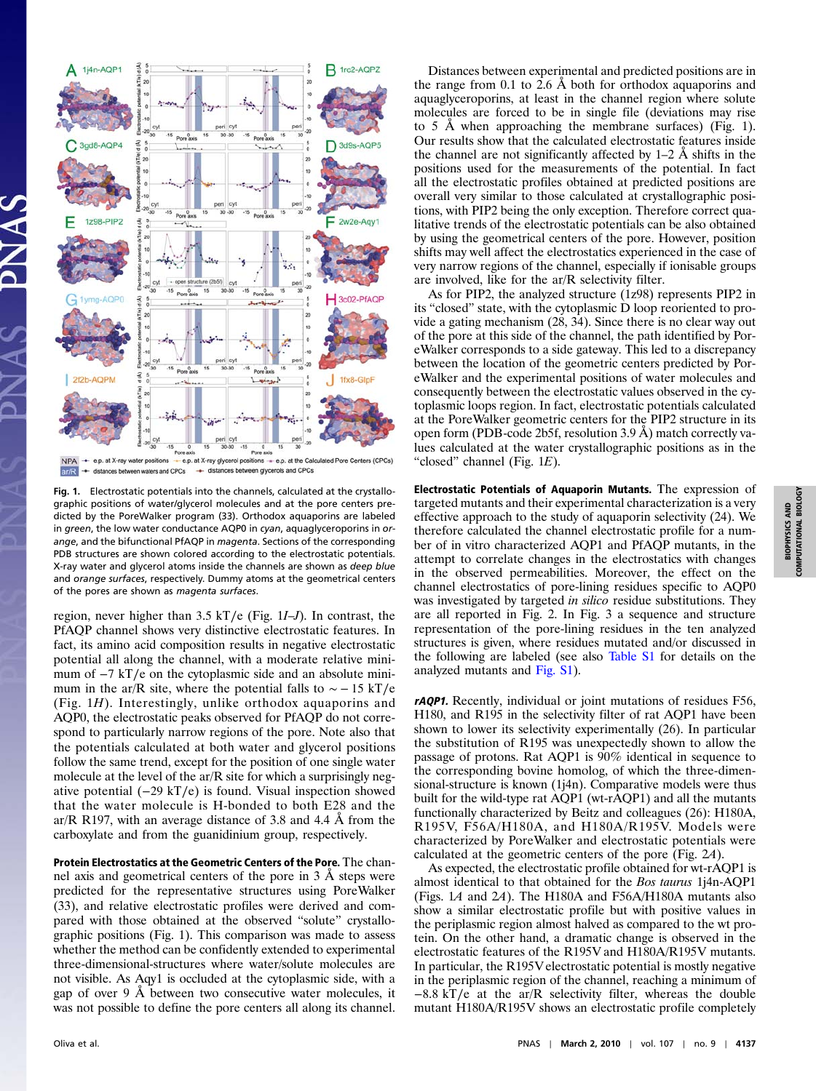

+ e.p. at X-ray water positions - e.p. at X-ray glycerol positions - e.p. at the Calculated Pore Centers (CPCs)  $ar/R$ + distances between waters and CPCs - distances between glycerols and CPCs

Fig. 1. Electrostatic potentials into the channels, calculated at the crystallographic positions of water/glycerol molecules and at the pore centers predicted by the PoreWalker program (33). Orthodox aquaporins are labeled in green, the low water conductance AQP0 in cyan, aquaglyceroporins in orange, and the bifunctional PfAQP in magenta. Sections of the corresponding PDB structures are shown colored according to the electrostatic potentials. X-ray water and glycerol atoms inside the channels are shown as deep blue and orange surfaces, respectively. Dummy atoms at the geometrical centers of the pores are shown as magenta surfaces.

region, never higher than <sup>3</sup>.<sup>5</sup> kT∕e (Fig. 1I–J). In contrast, the PfAQP channel shows very distinctive electrostatic features. In fact, its amino acid composition results in negative electrostatic potential all along the channel, with a moderate relative minimum of −7 kT∕e on the cytoplasmic side and an absolute minimum in the ar/R site, where the potential falls to  $\sim$  − 15 kT/e (Fig. 1H). Interestingly, unlike orthodox aquaporins and AQP0, the electrostatic peaks observed for PfAQP do not correspond to particularly narrow regions of the pore. Note also that the potentials calculated at both water and glycerol positions follow the same trend, except for the position of one single water molecule at the level of the ar/R site for which a surprisingly negative potential  $(-29 \text{ kT/e})$  is found. Visual inspection showed that the water molecule is H-bonded to both E28 and the ar/R R197, with an average distance of 3.8 and 4.4 Å from the carboxylate and from the guanidinium group, respectively.

Protein Electrostatics at the Geometric Centers of the Pore. The channel axis and geometrical centers of the pore in 3 Å steps were predicted for the representative structures using PoreWalker (33), and relative electrostatic profiles were derived and compared with those obtained at the observed "solute" crystallographic positions (Fig. 1). This comparison was made to assess whether the method can be confidently extended to experimental three-dimensional-structures where water/solute molecules are not visible. As Aqy1 is occluded at the cytoplasmic side, with a gap of over 9 Å between two consecutive water molecules, it was not possible to define the pore centers all along its channel.

Distances between experimental and predicted positions are in the range from 0.1 to 2.6 Å both for orthodox aquaporins and aquaglyceroporins, at least in the channel region where solute molecules are forced to be in single file (deviations may rise to 5 Å when approaching the membrane surfaces) (Fig. 1). Our results show that the calculated electrostatic features inside the channel are not significantly affected by 1–2 Å shifts in the positions used for the measurements of the potential. In fact all the electrostatic profiles obtained at predicted positions are overall very similar to those calculated at crystallographic positions, with PIP2 being the only exception. Therefore correct qualitative trends of the electrostatic potentials can be also obtained by using the geometrical centers of the pore. However, position shifts may well affect the electrostatics experienced in the case of very narrow regions of the channel, especially if ionisable groups are involved, like for the ar/R selectivity filter.

As for PIP2, the analyzed structure (1z98) represents PIP2 in its "closed" state, with the cytoplasmic D loop reoriented to provide a gating mechanism (28, 34). Since there is no clear way out of the pore at this side of the channel, the path identified by PoreWalker corresponds to a side gateway. This led to a discrepancy between the location of the geometric centers predicted by PoreWalker and the experimental positions of water molecules and consequently between the electrostatic values observed in the cytoplasmic loops region. In fact, electrostatic potentials calculated at the PoreWalker geometric centers for the PIP2 structure in its open form (PDB-code 2b5f, resolution 3.9 Å) match correctly values calculated at the water crystallographic positions as in the "closed" channel (Fig. 1E).

Electrostatic Potentials of Aquaporin Mutants. The expression of targeted mutants and their experimental characterization is a very effective approach to the study of aquaporin selectivity (24). We therefore calculated the channel electrostatic profile for a number of in vitro characterized AQP1 and PfAQP mutants, in the attempt to correlate changes in the electrostatics with changes in the observed permeabilities. Moreover, the effect on the channel electrostatics of pore-lining residues specific to AQP0 was investigated by targeted in silico residue substitutions. They are all reported in Fig. 2. In Fig. 3 a sequence and structure representation of the pore-lining residues in the ten analyzed structures is given, where residues mutated and/or discussed in the following are labeled (see also [Table S1](http://www.pnas.org/cgi/content/full/0910632107/DCSupplemental/ST1) for details on the analyzed mutants and [Fig. S1](http://www.pnas.org/cgi/content/full/0910632107/DCSupplemental/SF1)).

rAQP1. Recently, individual or joint mutations of residues F56, H180, and R195 in the selectivity filter of rat AQP1 have been shown to lower its selectivity experimentally (26). In particular the substitution of R195 was unexpectedly shown to allow the passage of protons. Rat AQP1 is 90% identical in sequence to the corresponding bovine homolog, of which the three-dimensional-structure is known (1j4n). Comparative models were thus built for the wild-type rat AQP1 (wt-rAQP1) and all the mutants functionally characterized by Beitz and colleagues (26): H180A, R195V, F56A/H180A, and H180A/R195V. Models were characterized by PoreWalker and electrostatic potentials were calculated at the geometric centers of the pore (Fig. 2A).

As expected, the electrostatic profile obtained for wt-rAQP1 is almost identical to that obtained for the Bos taurus 1j4n-AQP1 (Figs. 1A and 2A). The H180A and F56A/H180A mutants also show a similar electrostatic profile but with positive values in the periplasmic region almost halved as compared to the wt protein. On the other hand, a dramatic change is observed in the electrostatic features of the R195V and H180A/R195V mutants. In particular, the R195V electrostatic potential is mostly negative in the periplasmic region of the channel, reaching a minimum of −8.8 kT∕e at the ar/R selectivity filter, whereas the double mutant H180A/R195V shows an electrostatic profile completely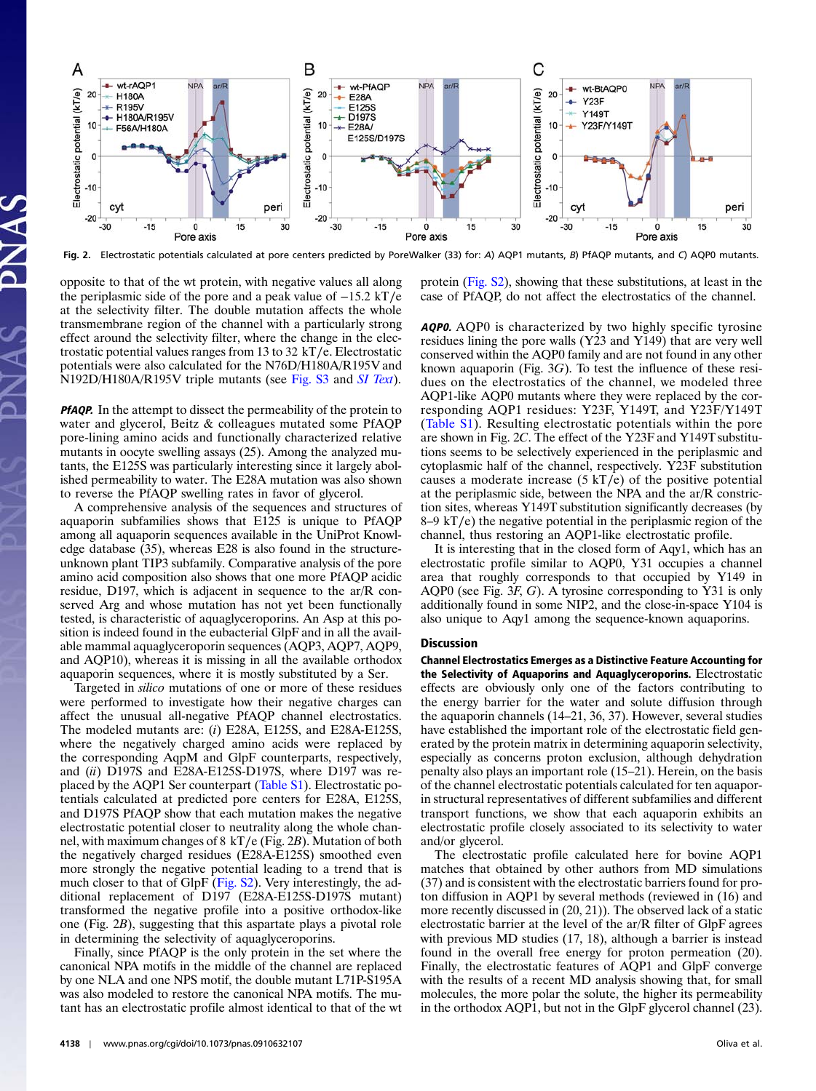

Fig. 2. Electrostatic potentials calculated at pore centers predicted by PoreWalker (33) for: A) AQP1 mutants, B) PfAQP mutants, and C) AQP0 mutants.

opposite to that of the wt protein, with negative values all along the periplasmic side of the pore and a peak value of −15.2 kT∕e at the selectivity filter. The double mutation affects the whole transmembrane region of the channel with a particularly strong effect around the selectivity filter, where the change in the electrostatic potential values ranges from 13 to 32 kT∕e. Electrostatic potentials were also calculated for the N76D/H180A/R195V and N192D/H180A/R195V triple mutants (see [Fig. S3](http://www.pnas.org/cgi/content/full/0910632107/DCSupplemental/SF3) and [SI Text](http://www.pnas.org/cgi/data/0910632107/DCSupplemental/Supplemental_PFD#nameddest=STXT)).

**PfAQP.** In the attempt to dissect the permeability of the protein to water and glycerol, Beitz & colleagues mutated some PfAQP pore-lining amino acids and functionally characterized relative mutants in oocyte swelling assays (25). Among the analyzed mutants, the E125S was particularly interesting since it largely abolished permeability to water. The E28A mutation was also shown to reverse the PfAQP swelling rates in favor of glycerol.

A comprehensive analysis of the sequences and structures of aquaporin subfamilies shows that E125 is unique to PfAQP among all aquaporin sequences available in the UniProt Knowledge database (35), whereas E28 is also found in the structureunknown plant TIP3 subfamily. Comparative analysis of the pore amino acid composition also shows that one more PfAQP acidic residue, D197, which is adjacent in sequence to the ar/R conserved Arg and whose mutation has not yet been functionally tested, is characteristic of aquaglyceroporins. An Asp at this position is indeed found in the eubacterial GlpF and in all the available mammal aquaglyceroporin sequences (AQP3, AQP7, AQP9, and AQP10), whereas it is missing in all the available orthodox aquaporin sequences, where it is mostly substituted by a Ser.

Targeted in *silico* mutations of one or more of these residues were performed to investigate how their negative charges can affect the unusual all-negative PfAQP channel electrostatics. The modeled mutants are: (i) E28A, E125S, and E28A-E125S, where the negatively charged amino acids were replaced by the corresponding AqpM and GlpF counterparts, respectively, and (ii) D197S and E28A-E125S-D197S, where D197 was replaced by the AQP1 Ser counterpart ([Table S1\)](http://www.pnas.org/cgi/content/full/0910632107/DCSupplemental/ST1). Electrostatic potentials calculated at predicted pore centers for E28A, E125S, and D197S PfAQP show that each mutation makes the negative electrostatic potential closer to neutrality along the whole channel, with maximum changes of 8 kT∕e (Fig. 2B). Mutation of both the negatively charged residues (E28A-E125S) smoothed even more strongly the negative potential leading to a trend that is much closer to that of GlpF [\(Fig. S2\)](http://www.pnas.org/cgi/content/full/0910632107/DCSupplemental/SF2). Very interestingly, the additional replacement of D197 (E28A-E125S-D197S mutant) transformed the negative profile into a positive orthodox-like one (Fig. 2B), suggesting that this aspartate plays a pivotal role in determining the selectivity of aquaglyceroporins.

Finally, since PfAQP is the only protein in the set where the canonical NPA motifs in the middle of the channel are replaced by one NLA and one NPS motif, the double mutant L71P-S195A was also modeled to restore the canonical NPA motifs. The mutant has an electrostatic profile almost identical to that of the wt

protein [\(Fig. S2](http://www.pnas.org/cgi/content/full/0910632107/DCSupplemental/SF2)), showing that these substitutions, at least in the case of PfAQP, do not affect the electrostatics of the channel.

AQP0. AQP0 is characterized by two highly specific tyrosine residues lining the pore walls (Y23 and Y149) that are very well conserved within the AQP0 family and are not found in any other known aquaporin (Fig. 3G). To test the influence of these residues on the electrostatics of the channel, we modeled three AQP1-like AQP0 mutants where they were replaced by the corresponding AQP1 residues: Y23F, Y149T, and Y23F/Y149T ([Table S1\)](http://www.pnas.org/cgi/content/full/0910632107/DCSupplemental/ST1). Resulting electrostatic potentials within the pore are shown in Fig. 2C. The effect of the Y23F and Y149T substitutions seems to be selectively experienced in the periplasmic and cytoplasmic half of the channel, respectively. Y23F substitution causes a moderate increase  $(5 \text{ kT/e})$  of the positive potential at the periplasmic side, between the NPA and the ar/R constriction sites, whereas Y149T substitution significantly decreases (by <sup>8</sup>–<sup>9</sup> kT∕e) the negative potential in the periplasmic region of the channel, thus restoring an AQP1-like electrostatic profile.

It is interesting that in the closed form of Aqy1, which has an electrostatic profile similar to AQP0, Y31 occupies a channel area that roughly corresponds to that occupied by Y149 in AQP0 (see Fig. 3F, G). A tyrosine corresponding to Y31 is only additionally found in some NIP2, and the close-in-space Y104 is also unique to Aqy1 among the sequence-known aquaporins.

# Discussion

Channel Electrostatics Emerges as a Distinctive Feature Accounting for the Selectivity of Aquaporins and Aquaglyceroporins. Electrostatic effects are obviously only one of the factors contributing to the energy barrier for the water and solute diffusion through the aquaporin channels (14–21, 36, 37). However, several studies have established the important role of the electrostatic field generated by the protein matrix in determining aquaporin selectivity, especially as concerns proton exclusion, although dehydration penalty also plays an important role (15–21). Herein, on the basis of the channel electrostatic potentials calculated for ten aquaporin structural representatives of different subfamilies and different transport functions, we show that each aquaporin exhibits an electrostatic profile closely associated to its selectivity to water and/or glycerol.

The electrostatic profile calculated here for bovine AQP1 matches that obtained by other authors from MD simulations (37) and is consistent with the electrostatic barriers found for proton diffusion in AQP1 by several methods (reviewed in (16) and more recently discussed in (20, 21)). The observed lack of a static electrostatic barrier at the level of the ar/R filter of GlpF agrees with previous MD studies (17, 18), although a barrier is instead found in the overall free energy for proton permeation (20). Finally, the electrostatic features of AQP1 and GlpF converge with the results of a recent MD analysis showing that, for small molecules, the more polar the solute, the higher its permeability in the orthodox AQP1, but not in the GlpF glycerol channel (23).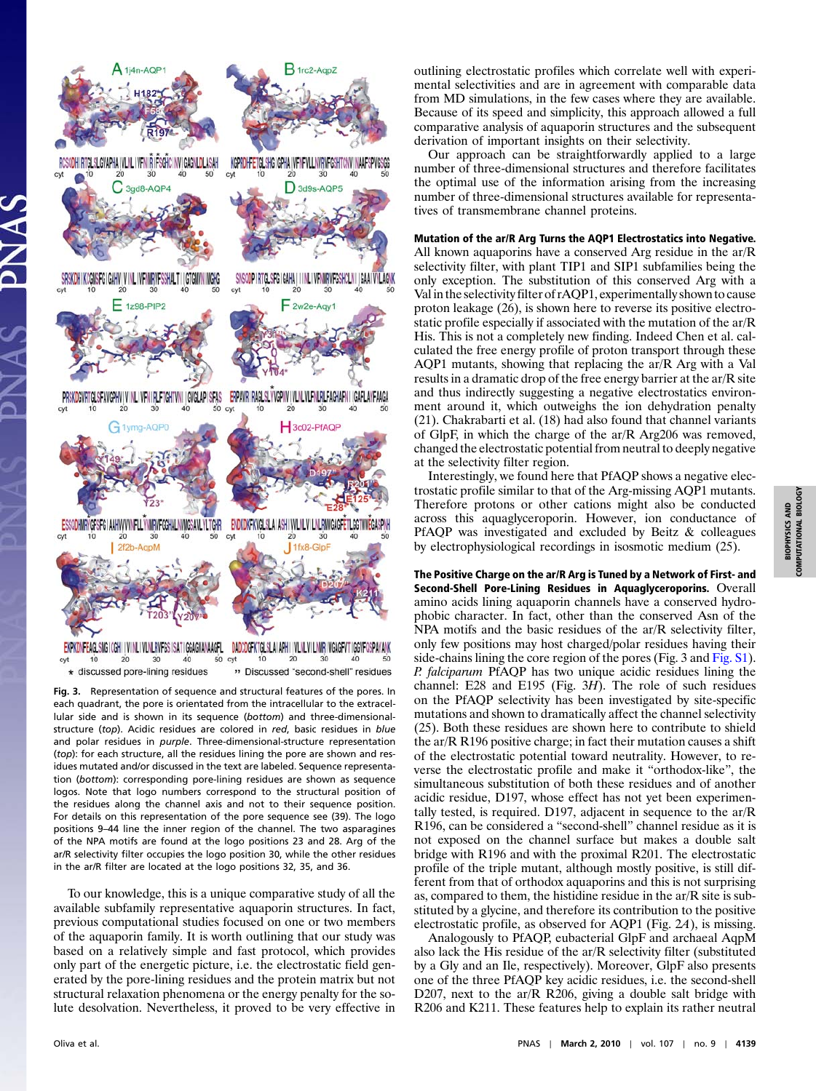

Fig. 3. Representation of sequence and structural features of the pores. In each quadrant, the pore is orientated from the intracellular to the extracellular side and is shown in its sequence (bottom) and three-dimensionalstructure (top). Acidic residues are colored in red, basic residues in blue and polar residues in purple. Three-dimensional-structure representation (top): for each structure, all the residues lining the pore are shown and residues mutated and/or discussed in the text are labeled. Sequence representation (bottom): corresponding pore-lining residues are shown as sequence logos. Note that logo numbers correspond to the structural position of the residues along the channel axis and not to their sequence position. For details on this representation of the pore sequence see (39). The logo positions 9–44 line the inner region of the channel. The two asparagines of the NPA motifs are found at the logo positions 23 and 28. Arg of the ar/R selectivity filter occupies the logo position 30, while the other residues in the ar/R filter are located at the logo positions 32, 35, and 36.

To our knowledge, this is a unique comparative study of all the available subfamily representative aquaporin structures. In fact, previous computational studies focused on one or two members of the aquaporin family. It is worth outlining that our study was based on a relatively simple and fast protocol, which provides only part of the energetic picture, i.e. the electrostatic field generated by the pore-lining residues and the protein matrix but not structural relaxation phenomena or the energy penalty for the solute desolvation. Nevertheless, it proved to be very effective in

outlining electrostatic profiles which correlate well with experimental selectivities and are in agreement with comparable data from MD simulations, in the few cases where they are available. Because of its speed and simplicity, this approach allowed a full comparative analysis of aquaporin structures and the subsequent derivation of important insights on their selectivity.

Our approach can be straightforwardly applied to a large number of three-dimensional structures and therefore facilitates the optimal use of the information arising from the increasing number of three-dimensional structures available for representatives of transmembrane channel proteins.

## Mutation of the ar/R Arg Turns the AQP1 Electrostatics into Negative.

All known aquaporins have a conserved Arg residue in the ar/R selectivity filter, with plant TIP1 and SIP1 subfamilies being the only exception. The substitution of this conserved Arg with a Val in the selectivity filter of rAQP1, experimentally shown to cause proton leakage (26), is shown here to reverse its positive electrostatic profile especially if associated with the mutation of the ar/R His. This is not a completely new finding. Indeed Chen et al. calculated the free energy profile of proton transport through these AQP1 mutants, showing that replacing the ar/R Arg with a Val results in a dramatic drop of the free energy barrier at the ar/R site and thus indirectly suggesting a negative electrostatics environment around it, which outweighs the ion dehydration penalty (21). Chakrabarti et al. (18) had also found that channel variants of GlpF, in which the charge of the ar/R Arg206 was removed, changed the electrostatic potential from neutral to deeply negative at the selectivity filter region.

Interestingly, we found here that PfAQP shows a negative electrostatic profile similar to that of the Arg-missing AQP1 mutants. Therefore protons or other cations might also be conducted across this aquaglyceroporin. However, ion conductance of PfAQP was investigated and excluded by Beitz & colleagues by electrophysiological recordings in isosmotic medium (25).

The Positive Charge on the ar/R Arg is Tuned by a Network of First- and Second-Shell Pore-Lining Residues in Aquaglyceroporins. Overall amino acids lining aquaporin channels have a conserved hydrophobic character. In fact, other than the conserved Asn of the NPA motifs and the basic residues of the ar/R selectivity filter, only few positions may host charged/polar residues having their side-chains lining the core region of the pores (Fig. 3 and [Fig. S1](http://www.pnas.org/cgi/content/full/0910632107/DCSupplemental/SF1)). P. falciparum PfAQP has two unique acidic residues lining the channel: E28 and E195 (Fig. 3H). The role of such residues on the PfAQP selectivity has been investigated by site-specific mutations and shown to dramatically affect the channel selectivity (25). Both these residues are shown here to contribute to shield the ar/R R196 positive charge; in fact their mutation causes a shift of the electrostatic potential toward neutrality. However, to reverse the electrostatic profile and make it "orthodox-like", the simultaneous substitution of both these residues and of another acidic residue, D197, whose effect has not yet been experimentally tested, is required. D197, adjacent in sequence to the ar/R R196, can be considered a "second-shell" channel residue as it is not exposed on the channel surface but makes a double salt bridge with R196 and with the proximal R201. The electrostatic profile of the triple mutant, although mostly positive, is still different from that of orthodox aquaporins and this is not surprising as, compared to them, the histidine residue in the ar/R site is substituted by a glycine, and therefore its contribution to the positive electrostatic profile, as observed for AQP1 (Fig. 2A), is missing.

Analogously to PfAQP, eubacterial GlpF and archaeal AqpM also lack the His residue of the ar/R selectivity filter (substituted by a Gly and an Ile, respectively). Moreover, GlpF also presents one of the three PfAQP key acidic residues, i.e. the second-shell D207, next to the ar/R R206, giving a double salt bridge with R206 and K211. These features help to explain its rather neutral